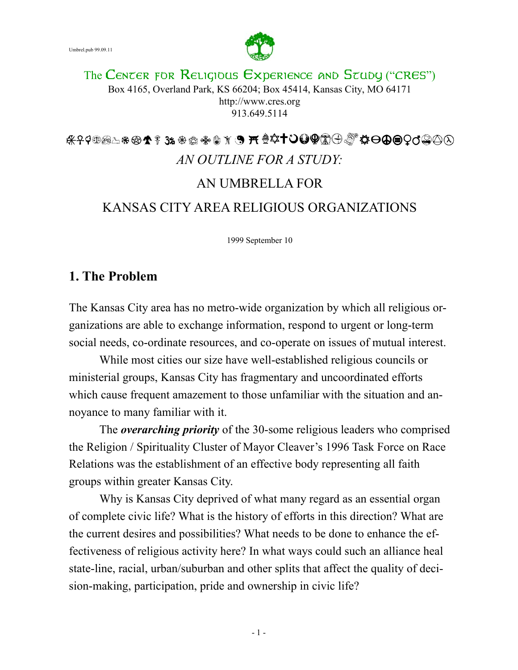

The CENTER FOR RELIGIOUS EXPERIENCE AND STUDY ("CRES") Box 4165, Overland Park, KS 66204; Box 45414, Kansas City, MO 64171 http://www.cres.org 913.649.5114

# *AN OUTLINE FOR A STUDY:*  AN UMBRELLA FOR KANSAS CITY AREA RELIGIOUS ORGANIZATIONS

1999 September 10

## **1. The Problem**

The Kansas City area has no metro-wide organization by which all religious organizations are able to exchange information, respond to urgent or long-term social needs, co-ordinate resources, and co-operate on issues of mutual interest.

 While most cities our size have well-established religious councils or ministerial groups, Kansas City has fragmentary and uncoordinated efforts which cause frequent amazement to those unfamiliar with the situation and annoyance to many familiar with it.

 The *overarching priority* of the 30-some religious leaders who comprised the Religion / Spirituality Cluster of Mayor Cleaver's 1996 Task Force on Race Relations was the establishment of an effective body representing all faith groups within greater Kansas City.

 Why is Kansas City deprived of what many regard as an essential organ of complete civic life? What is the history of efforts in this direction? What are the current desires and possibilities? What needs to be done to enhance the effectiveness of religious activity here? In what ways could such an alliance heal state-line, racial, urban/suburban and other splits that affect the quality of decision-making, participation, pride and ownership in civic life?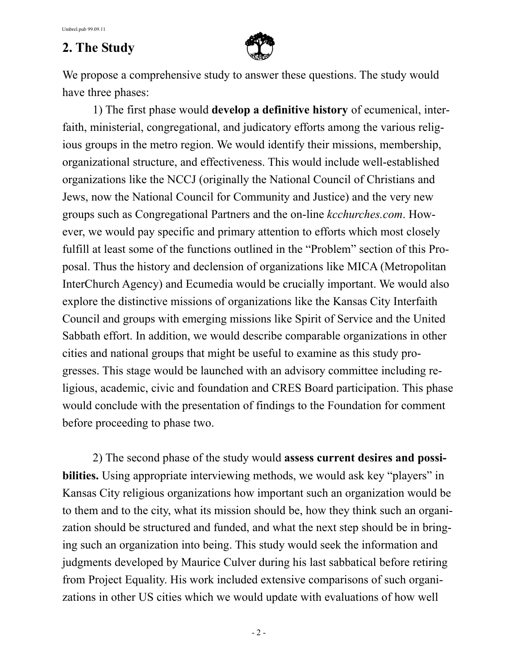## **2. The Study**



We propose a comprehensive study to answer these questions. The study would have three phases:

 1) The first phase would **develop a definitive history** of ecumenical, interfaith, ministerial, congregational, and judicatory efforts among the various religious groups in the metro region. We would identify their missions, membership, organizational structure, and effectiveness. This would include well-established organizations like the NCCJ (originally the National Council of Christians and Jews, now the National Council for Community and Justice) and the very new groups such as Congregational Partners and the on-line *kcchurches.com*. However, we would pay specific and primary attention to efforts which most closely fulfill at least some of the functions outlined in the "Problem" section of this Proposal. Thus the history and declension of organizations like MICA (Metropolitan InterChurch Agency) and Ecumedia would be crucially important. We would also explore the distinctive missions of organizations like the Kansas City Interfaith Council and groups with emerging missions like Spirit of Service and the United Sabbath effort. In addition, we would describe comparable organizations in other cities and national groups that might be useful to examine as this study progresses. This stage would be launched with an advisory committee including religious, academic, civic and foundation and CRES Board participation. This phase would conclude with the presentation of findings to the Foundation for comment before proceeding to phase two.

 2) The second phase of the study would **assess current desires and possibilities.** Using appropriate interviewing methods, we would ask key "players" in Kansas City religious organizations how important such an organization would be to them and to the city, what its mission should be, how they think such an organization should be structured and funded, and what the next step should be in bringing such an organization into being. This study would seek the information and judgments developed by Maurice Culver during his last sabbatical before retiring from Project Equality. His work included extensive comparisons of such organizations in other US cities which we would update with evaluations of how well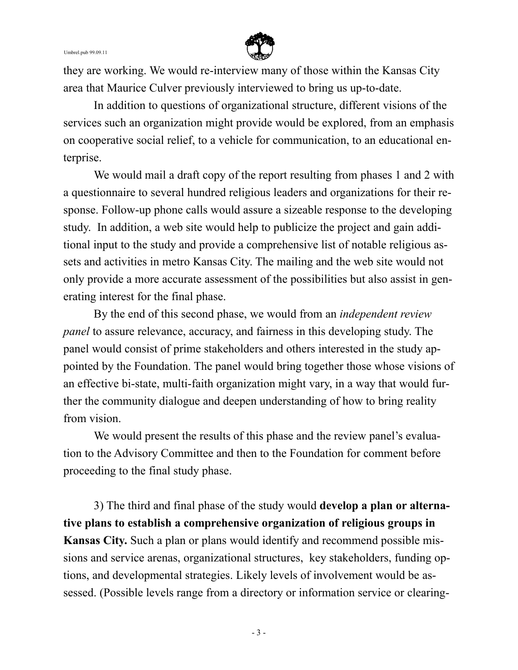

they are working. We would re-interview many of those within the Kansas City area that Maurice Culver previously interviewed to bring us up-to-date.

 In addition to questions of organizational structure, different visions of the services such an organization might provide would be explored, from an emphasis on cooperative social relief, to a vehicle for communication, to an educational enterprise.

We would mail a draft copy of the report resulting from phases 1 and 2 with a questionnaire to several hundred religious leaders and organizations for their response. Follow-up phone calls would assure a sizeable response to the developing study. In addition, a web site would help to publicize the project and gain additional input to the study and provide a comprehensive list of notable religious assets and activities in metro Kansas City. The mailing and the web site would not only provide a more accurate assessment of the possibilities but also assist in generating interest for the final phase.

 By the end of this second phase, we would from an *independent review panel* to assure relevance, accuracy, and fairness in this developing study. The panel would consist of prime stakeholders and others interested in the study appointed by the Foundation. The panel would bring together those whose visions of an effective bi-state, multi-faith organization might vary, in a way that would further the community dialogue and deepen understanding of how to bring reality from vision.

 We would present the results of this phase and the review panel's evaluation to the Advisory Committee and then to the Foundation for comment before proceeding to the final study phase.

 3) The third and final phase of the study would **develop a plan or alternative plans to establish a comprehensive organization of religious groups in Kansas City.** Such a plan or plans would identify and recommend possible missions and service arenas, organizational structures, key stakeholders, funding options, and developmental strategies. Likely levels of involvement would be assessed. (Possible levels range from a directory or information service or clearing-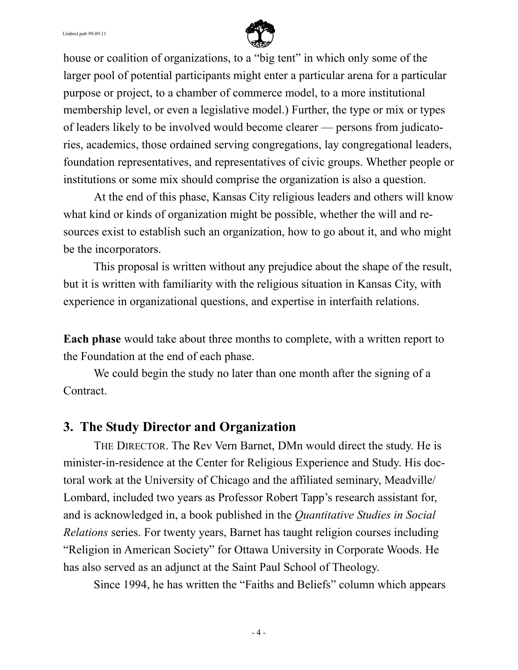

house or coalition of organizations, to a "big tent" in which only some of the larger pool of potential participants might enter a particular arena for a particular purpose or project, to a chamber of commerce model, to a more institutional membership level, or even a legislative model.) Further, the type or mix or types of leaders likely to be involved would become clearer — persons from judicatories, academics, those ordained serving congregations, lay congregational leaders, foundation representatives, and representatives of civic groups. Whether people or institutions or some mix should comprise the organization is also a question.

 At the end of this phase, Kansas City religious leaders and others will know what kind or kinds of organization might be possible, whether the will and resources exist to establish such an organization, how to go about it, and who might be the incorporators.

 This proposal is written without any prejudice about the shape of the result, but it is written with familiarity with the religious situation in Kansas City, with experience in organizational questions, and expertise in interfaith relations.

**Each phase** would take about three months to complete, with a written report to the Foundation at the end of each phase.

 We could begin the study no later than one month after the signing of a Contract.

### **3. The Study Director and Organization**

 THE DIRECTOR. The Rev Vern Barnet, DMn would direct the study. He is minister-in-residence at the Center for Religious Experience and Study. His doctoral work at the University of Chicago and the affiliated seminary, Meadville/ Lombard, included two years as Professor Robert Tapp's research assistant for, and is acknowledged in, a book published in the *Quantitative Studies in Social Relations* series. For twenty years, Barnet has taught religion courses including "Religion in American Society" for Ottawa University in Corporate Woods. He has also served as an adjunct at the Saint Paul School of Theology.

Since 1994, he has written the "Faiths and Beliefs" column which appears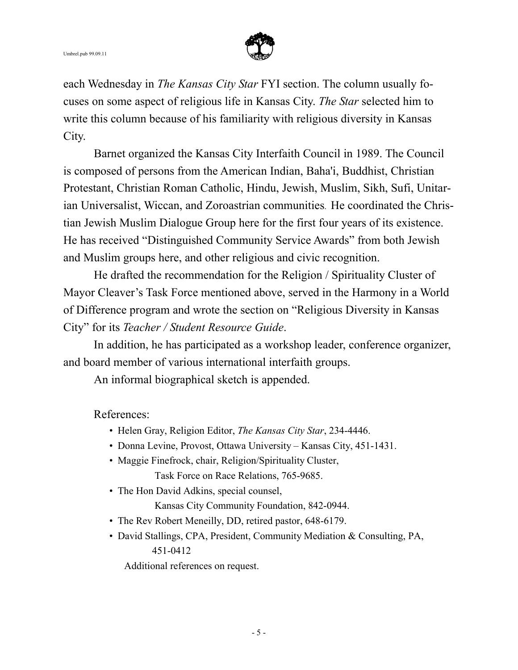

each Wednesday in *The Kansas City Star* FYI section. The column usually focuses on some aspect of religious life in Kansas City. *The Star* selected him to write this column because of his familiarity with religious diversity in Kansas City.

 Barnet organized the Kansas City Interfaith Council in 1989. The Council is composed of persons from the American Indian, Baha'i, Buddhist, Christian Protestant, Christian Roman Catholic, Hindu, Jewish, Muslim, Sikh, Sufi, Unitarian Universalist, Wiccan, and Zoroastrian communities. He coordinated the Christian Jewish Muslim Dialogue Group here for the first four years of its existence. He has received "Distinguished Community Service Awards" from both Jewish and Muslim groups here, and other religious and civic recognition.

 He drafted the recommendation for the Religion / Spirituality Cluster of Mayor Cleaver's Task Force mentioned above, served in the Harmony in a World of Difference program and wrote the section on "Religious Diversity in Kansas City" for its *Teacher / Student Resource Guide*.

 In addition, he has participated as a workshop leader, conference organizer, and board member of various international interfaith groups.

An informal biographical sketch is appended.

References:

- Helen Gray, Religion Editor, *The Kansas City Star*, 234-4446.
- Donna Levine, Provost, Ottawa University Kansas City, 451-1431.
- Maggie Finefrock, chair, Religion/Spirituality Cluster, Task Force on Race Relations, 765-9685.
- The Hon David Adkins, special counsel, Kansas City Community Foundation, 842-0944.
- The Rev Robert Meneilly, DD, retired pastor, 648-6179.
- David Stallings, CPA, President, Community Mediation & Consulting, PA, 451-0412

Additional references on request.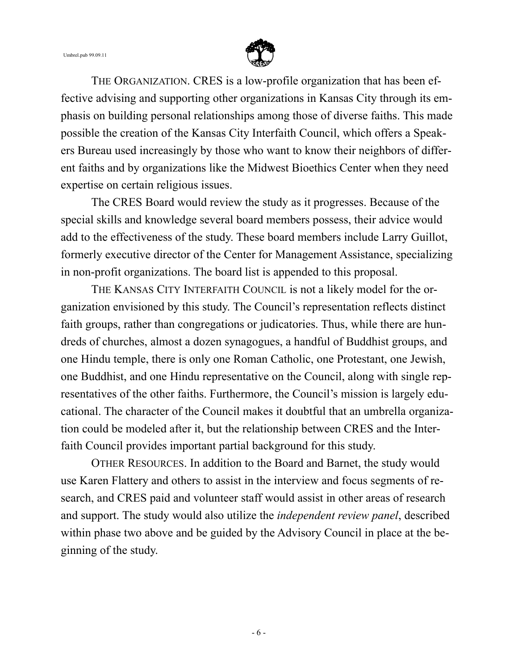#### Umbrel.pub 99.09.11



 THE ORGANIZATION. CRES is a low-profile organization that has been effective advising and supporting other organizations in Kansas City through its emphasis on building personal relationships among those of diverse faiths. This made possible the creation of the Kansas City Interfaith Council, which offers a Speakers Bureau used increasingly by those who want to know their neighbors of different faiths and by organizations like the Midwest Bioethics Center when they need expertise on certain religious issues.

 The CRES Board would review the study as it progresses. Because of the special skills and knowledge several board members possess, their advice would add to the effectiveness of the study. These board members include Larry Guillot, formerly executive director of the Center for Management Assistance, specializing in non-profit organizations. The board list is appended to this proposal.

 THE KANSAS CITY INTERFAITH COUNCIL is not a likely model for the organization envisioned by this study. The Council's representation reflects distinct faith groups, rather than congregations or judicatories. Thus, while there are hundreds of churches, almost a dozen synagogues, a handful of Buddhist groups, and one Hindu temple, there is only one Roman Catholic, one Protestant, one Jewish, one Buddhist, and one Hindu representative on the Council, along with single representatives of the other faiths. Furthermore, the Council's mission is largely educational. The character of the Council makes it doubtful that an umbrella organization could be modeled after it, but the relationship between CRES and the Interfaith Council provides important partial background for this study.

 OTHER RESOURCES. In addition to the Board and Barnet, the study would use Karen Flattery and others to assist in the interview and focus segments of research, and CRES paid and volunteer staff would assist in other areas of research and support. The study would also utilize the *independent review panel*, described within phase two above and be guided by the Advisory Council in place at the beginning of the study.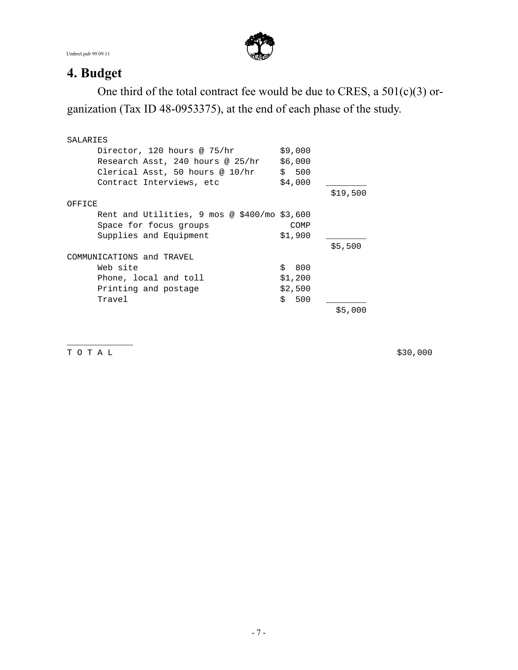Umbrel.pub 99.09.11



## **4. Budget**

 One third of the total contract fee would be due to CRES, a 501(c)(3) organization (Tax ID 48-0953375), at the end of each phase of the study.

| SALARIES                                                |           |          |
|---------------------------------------------------------|-----------|----------|
| Director, 120 hours @ 75/hr                             | \$9,000   |          |
| Research Asst, 240 hours @ 25/hr                        | \$6,000   |          |
| Clerical Asst, 50 hours @ 10/hr                         | \$500     |          |
| Contract Interviews, etc                                | \$4,000   |          |
|                                                         |           | \$19,500 |
| OFFICE                                                  |           |          |
| Rent and Utilities, $9 \text{ mos } @$ \$400/mo \$3,600 |           |          |
| Space for focus groups                                  | COMP      |          |
| Supplies and Equipment                                  | \$1,900   |          |
|                                                         |           | \$5,500  |
| COMMUNICATIONS and TRAVEL                               |           |          |
| Web site                                                | \$<br>800 |          |
| Phone, local and toll                                   | \$1,200   |          |
| Printing and postage                                    | \$2,500   |          |
| Travel                                                  | \$<br>500 |          |
|                                                         |           | \$5,000  |

T O T A L \$30,000

\_\_\_\_\_\_\_\_\_\_\_\_\_